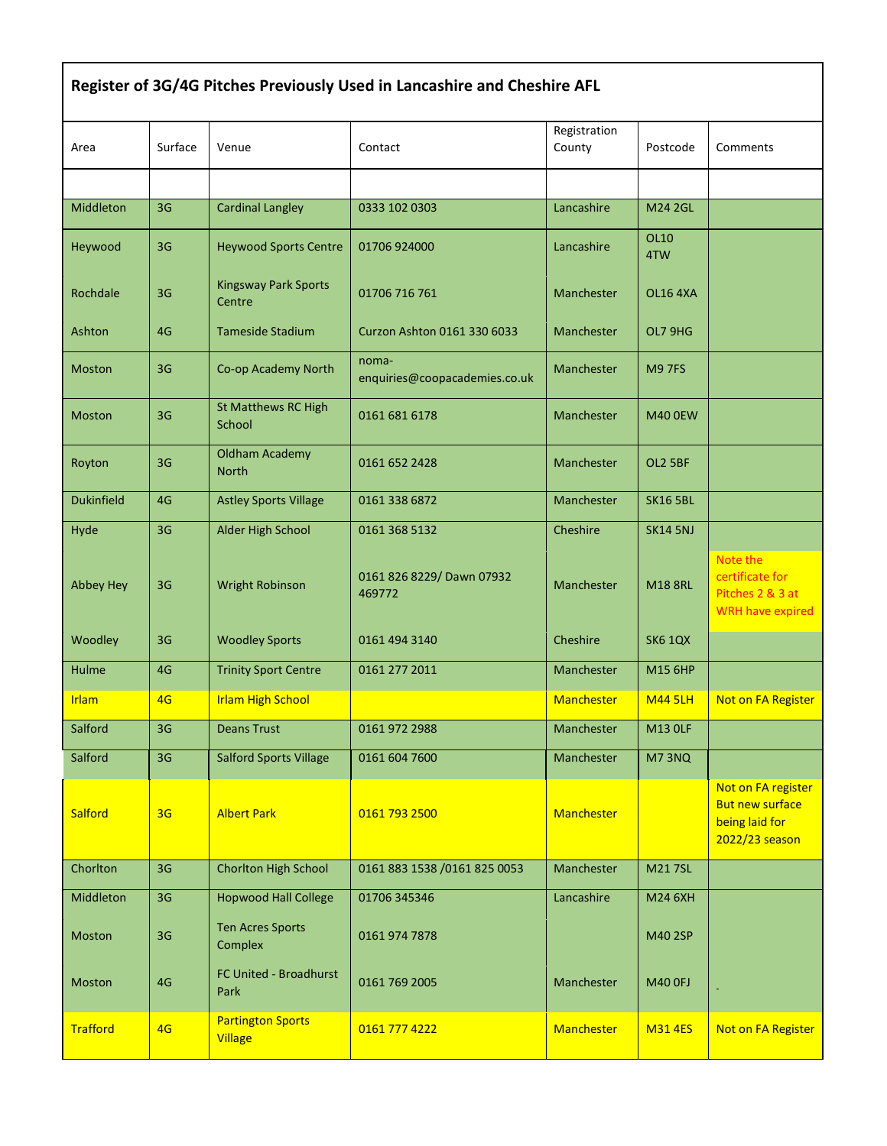| Register of 3G/4G Pitches Previously Used in Lancashire and Cheshire AFL |                |                                            |                                        |                        |                    |                                                                                  |  |  |  |
|--------------------------------------------------------------------------|----------------|--------------------------------------------|----------------------------------------|------------------------|--------------------|----------------------------------------------------------------------------------|--|--|--|
| Area                                                                     | Surface        | Venue                                      | Contact                                | Registration<br>County | Postcode           | Comments                                                                         |  |  |  |
|                                                                          |                |                                            |                                        |                        |                    |                                                                                  |  |  |  |
| Middleton                                                                | 3G             | <b>Cardinal Langley</b>                    | 0333 102 0303                          | Lancashire             | <b>M24 2GL</b>     |                                                                                  |  |  |  |
| Heywood                                                                  | 3G             | <b>Heywood Sports Centre</b>               | 01706 924000                           | Lancashire             | <b>OL10</b><br>4TW |                                                                                  |  |  |  |
| Rochdale                                                                 | 3G             | <b>Kingsway Park Sports</b><br>Centre      | 01706 716 761                          | Manchester             | <b>OL16 4XA</b>    |                                                                                  |  |  |  |
| Ashton                                                                   | 4G             | <b>Tameside Stadium</b>                    | Curzon Ashton 0161 330 6033            | Manchester             | OL7 9HG            |                                                                                  |  |  |  |
| <b>Moston</b>                                                            | 3G             | Co-op Academy North                        | noma-<br>enquiries@coopacademies.co.uk | Manchester             | <b>M97FS</b>       |                                                                                  |  |  |  |
| <b>Moston</b>                                                            | 3G             | <b>St Matthews RC High</b><br>School       | 0161 681 6178                          | Manchester             | <b>M40 0EW</b>     |                                                                                  |  |  |  |
| Royton                                                                   | 3G             | <b>Oldham Academy</b><br><b>North</b>      | 0161 652 2428                          | Manchester             | OL2 5BF            |                                                                                  |  |  |  |
| <b>Dukinfield</b>                                                        | 4G             | <b>Astley Sports Village</b>               | 0161 338 6872                          | Manchester             | <b>SK16 5BL</b>    |                                                                                  |  |  |  |
| Hyde                                                                     | 3G             | Alder High School                          | 0161 368 5132                          | Cheshire               | <b>SK14 5NJ</b>    |                                                                                  |  |  |  |
| <b>Abbey Hey</b>                                                         | 3G             | <b>Wright Robinson</b>                     | 0161 826 8229/ Dawn 07932<br>469772    | Manchester             | <b>M18 8RL</b>     | Note the<br>certificate for<br>Pitches 2 & 3 at<br><b>WRH have expired</b>       |  |  |  |
| Woodley                                                                  | 3G             | <b>Woodley Sports</b>                      | 0161 494 3140                          | Cheshire               | <b>SK6 1QX</b>     |                                                                                  |  |  |  |
| Hulme                                                                    | 4G             | <b>Trinity Sport Centre</b>                | 0161 277 2011                          | Manchester             | M15 6HP            |                                                                                  |  |  |  |
| <b>Irlam</b>                                                             | 4G             | <b>Irlam High School</b>                   |                                        | <b>Manchester</b>      | <b>M44 5LH</b>     | Not on FA Register                                                               |  |  |  |
| Salford                                                                  | 3 <sub>G</sub> | <b>Deans Trust</b>                         | 0161 972 2988                          | Manchester             | <b>M13 OLF</b>     |                                                                                  |  |  |  |
| Salford                                                                  | 3 <sub>G</sub> | <b>Salford Sports Village</b>              | 0161 604 7600                          | Manchester             | M73NQ              |                                                                                  |  |  |  |
| <b>Salford</b>                                                           | 3 <sub>G</sub> | <b>Albert Park</b>                         | 0161 793 2500                          | Manchester             |                    | Not on FA register<br><b>But new surface</b><br>being laid for<br>2022/23 season |  |  |  |
| Chorlton                                                                 | 3G             | Chorlton High School                       | 0161 883 1538 /0161 825 0053           | Manchester             | <b>M217SL</b>      |                                                                                  |  |  |  |
| Middleton                                                                | 3G             | <b>Hopwood Hall College</b>                | 01706 345346                           | Lancashire             | M24 6XH            |                                                                                  |  |  |  |
| Moston                                                                   | 3G             | <b>Ten Acres Sports</b><br>Complex         | 0161 974 7878                          |                        | M40 2SP            |                                                                                  |  |  |  |
| Moston                                                                   | 4G             | FC United - Broadhurst<br>Park             | 0161 769 2005                          | Manchester             | <b>M40 OFJ</b>     |                                                                                  |  |  |  |
| <b>Trafford</b>                                                          | 4G             | <b>Partington Sports</b><br><b>Village</b> | 0161 777 4222                          | Manchester             | <b>M314ES</b>      | Not on FA Register                                                               |  |  |  |